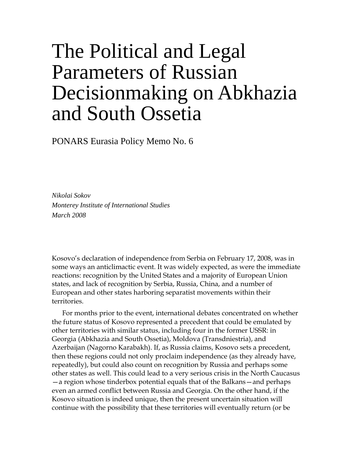## The Political and Legal Parameters of Russian Decisionmaking on Abkhazia and South Ossetia

PONARS Eurasia Policy Memo No. 6

*Nikolai Sokov Monterey Institute of International Studies March 2008* 

Kosovo's declaration of independence from Serbia on February 17, 2008, was in some ways an anticlimactic event. It was widely expected, as were the immediate reactions: recognition by the United States and a majority of European Union states, and lack of recognition by Serbia, Russia, China, and a number of European and other states harboring separatist movements within their territories.

For months prior to the event, international debates concentrated on whether the future status of Kosovo represented a precedent that could be emulated by other territories with similar status, including four in the former USSR: in Georgia (Abkhazia and South Ossetia), Moldova (Transdniestria), and Azerbaijan (Nagorno Karabakh). If, as Russia claims, Kosovo sets a precedent, then these regions could not only proclaim independence (as they already have, repeatedly), but could also count on recognition by Russia and perhaps some other states as well. This could lead to a very serious crisis in the North Caucasus —a region whose tinderbox potential equals that of the Balkans—and perhaps even an armed conflict between Russia and Georgia. On the other hand, if the Kosovo situation is indeed unique, then the present uncertain situation will continue with the possibility that these territories will eventually return (or be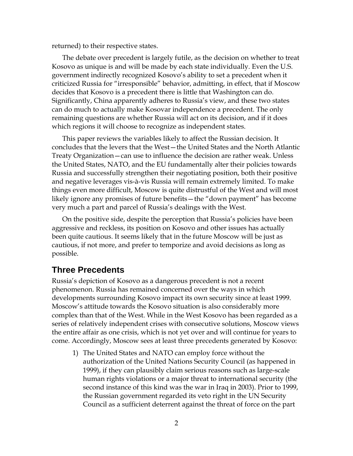returned) to their respective states.

The debate over precedent is largely futile, as the decision on whether to treat Kosovo as unique is and will be made by each state individually. Even the U.S. government indirectly recognized Kosovo's ability to set a precedent when it criticized Russia for "irresponsible" behavior, admitting, in effect, that if Moscow decides that Kosovo is a precedent there is little that Washington can do. Significantly, China apparently adheres to Russia's view, and these two states can do much to actually make Kosovar independence a precedent. The only remaining questions are whether Russia will act on its decision, and if it does which regions it will choose to recognize as independent states.

 This paper reviews the variables likely to affect the Russian decision. It concludes that the levers that the West—the United States and the North Atlantic Treaty Organization—can use to influence the decision are rather weak. Unless the United States, NATO, and the EU fundamentally alter their policies towards Russia and successfully strengthen their negotiating position, both their positive and negative leverages vis-à-vis Russia will remain extremely limited. To make things even more difficult, Moscow is quite distrustful of the West and will most likely ignore any promises of future benefits—the "down payment" has become very much a part and parcel of Russia's dealings with the West.

On the positive side, despite the perception that Russia's policies have been aggressive and reckless, its position on Kosovo and other issues has actually been quite cautious. It seems likely that in the future Moscow will be just as cautious, if not more, and prefer to temporize and avoid decisions as long as possible.

## **Three Precedents**

Russia's depiction of Kosovo as a dangerous precedent is not a recent phenomenon. Russia has remained concerned over the ways in which developments surrounding Kosovo impact its own security since at least 1999. Moscow's attitude towards the Kosovo situation is also considerably more complex than that of the West. While in the West Kosovo has been regarded as a series of relatively independent crises with consecutive solutions, Moscow views the entire affair as one crisis, which is not yet over and will continue for years to come. Accordingly, Moscow sees at least three precedents generated by Kosovo:

1) The United States and NATO can employ force without the authorization of the United Nations Security Council (as happened in 1999), if they can plausibly claim serious reasons such as large-scale human rights violations or a major threat to international security (the second instance of this kind was the war in Iraq in 2003). Prior to 1999, the Russian government regarded its veto right in the UN Security Council as a sufficient deterrent against the threat of force on the part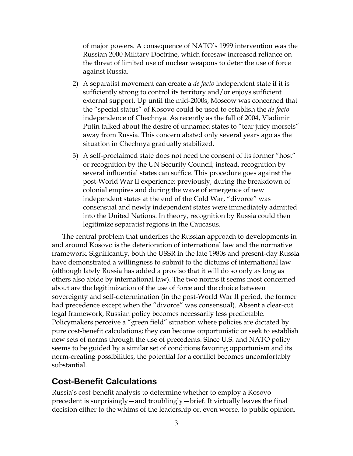of major powers. A consequence of NATO's 1999 intervention was the Russian 2000 Military Doctrine, which foresaw increased reliance on the threat of limited use of nuclear weapons to deter the use of force against Russia.

- 2) A separatist movement can create a *de facto* independent state if it is sufficiently strong to control its territory and/or enjoys sufficient external support. Up until the mid-2000s, Moscow was concerned that the "special status" of Kosovo could be used to establish the *de facto* independence of Chechnya. As recently as the fall of 2004, Vladimir Putin talked about the desire of unnamed states to "tear juicy morsels" away from Russia. This concern abated only several years ago as the situation in Chechnya gradually stabilized.
- 3) A self-proclaimed state does not need the consent of its former "host" or recognition by the UN Security Council; instead, recognition by several influential states can suffice. This procedure goes against the post-World War II experience: previously, during the breakdown of colonial empires and during the wave of emergence of new independent states at the end of the Cold War, "divorce" was consensual and newly independent states were immediately admitted into the United Nations. In theory, recognition by Russia could then legitimize separatist regions in the Caucasus.

The central problem that underlies the Russian approach to developments in and around Kosovo is the deterioration of international law and the normative framework. Significantly, both the USSR in the late 1980s and present-day Russia have demonstrated a willingness to submit to the dictums of international law (although lately Russia has added a proviso that it will do so only as long as others also abide by international law). The two norms it seems most concerned about are the legitimization of the use of force and the choice between sovereignty and self-determination (in the post-World War II period, the former had precedence except when the "divorce" was consensual). Absent a clear-cut legal framework, Russian policy becomes necessarily less predictable. Policymakers perceive a "green field" situation where policies are dictated by pure cost-benefit calculations; they can become opportunistic or seek to establish new sets of norms through the use of precedents. Since U.S. and NATO policy seems to be guided by a similar set of conditions favoring opportunism and its norm-creating possibilities, the potential for a conflict becomes uncomfortably substantial.

## **Cost-Benefit Calculations**

Russia's cost-benefit analysis to determine whether to employ a Kosovo precedent is surprisingly—and troublingly—brief. It virtually leaves the final decision either to the whims of the leadership or, even worse, to public opinion,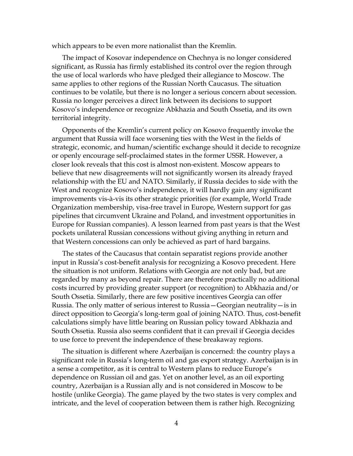which appears to be even more nationalist than the Kremlin.

 The impact of Kosovar independence on Chechnya is no longer considered significant, as Russia has firmly established its control over the region through the use of local warlords who have pledged their allegiance to Moscow. The same applies to other regions of the Russian North Caucasus. The situation continues to be volatile, but there is no longer a serious concern about secession. Russia no longer perceives a direct link between its decisions to support Kosovo's independence or recognize Abkhazia and South Ossetia, and its own territorial integrity.

Opponents of the Kremlin's current policy on Kosovo frequently invoke the argument that Russia will face worsening ties with the West in the fields of strategic, economic, and human/scientific exchange should it decide to recognize or openly encourage self-proclaimed states in the former USSR. However, a closer look reveals that this cost is almost non-existent. Moscow appears to believe that new disagreements will not significantly worsen its already frayed relationship with the EU and NATO. Similarly, if Russia decides to side with the West and recognize Kosovo's independence, it will hardly gain any significant improvements vis-à-vis its other strategic priorities (for example, World Trade Organization membership, visa-free travel in Europe, Western support for gas pipelines that circumvent Ukraine and Poland, and investment opportunities in Europe for Russian companies). A lesson learned from past years is that the West pockets unilateral Russian concessions without giving anything in return and that Western concessions can only be achieved as part of hard bargains.

The states of the Caucasus that contain separatist regions provide another input in Russia's cost-benefit analysis for recognizing a Kosovo precedent. Here the situation is not uniform. Relations with Georgia are not only bad, but are regarded by many as beyond repair. There are therefore practically no additional costs incurred by providing greater support (or recognition) to Abkhazia and/or South Ossetia. Similarly, there are few positive incentives Georgia can offer Russia. The only matter of serious interest to Russia—Georgian neutrality—is in direct opposition to Georgia's long-term goal of joining NATO. Thus, cost-benefit calculations simply have little bearing on Russian policy toward Abkhazia and South Ossetia. Russia also seems confident that it can prevail if Georgia decides to use force to prevent the independence of these breakaway regions.

The situation is different where Azerbaijan is concerned: the country plays a significant role in Russia's long-term oil and gas export strategy. Azerbaijan is in a sense a competitor, as it is central to Western plans to reduce Europe's dependence on Russian oil and gas. Yet on another level, as an oil exporting country, Azerbaijan is a Russian ally and is not considered in Moscow to be hostile (unlike Georgia). The game played by the two states is very complex and intricate, and the level of cooperation between them is rather high. Recognizing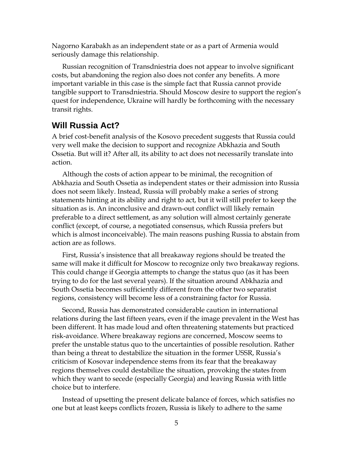Nagorno Karabakh as an independent state or as a part of Armenia would seriously damage this relationship.

Russian recognition of Transdniestria does not appear to involve significant costs, but abandoning the region also does not confer any benefits. A more important variable in this case is the simple fact that Russia cannot provide tangible support to Transdniestria. Should Moscow desire to support the region's quest for independence, Ukraine will hardly be forthcoming with the necessary transit rights.

## **Will Russia Act?**

A brief cost-benefit analysis of the Kosovo precedent suggests that Russia could very well make the decision to support and recognize Abkhazia and South Ossetia. But will it? After all, its ability to act does not necessarily translate into action.

Although the costs of action appear to be minimal, the recognition of Abkhazia and South Ossetia as independent states or their admission into Russia does not seem likely. Instead, Russia will probably make a series of strong statements hinting at its ability and right to act, but it will still prefer to keep the situation as is. An inconclusive and drawn-out conflict will likely remain preferable to a direct settlement, as any solution will almost certainly generate conflict (except, of course, a negotiated consensus, which Russia prefers but which is almost inconceivable). The main reasons pushing Russia to abstain from action are as follows.

First, Russia's insistence that all breakaway regions should be treated the same will make it difficult for Moscow to recognize only two breakaway regions. This could change if Georgia attempts to change the status quo (as it has been trying to do for the last several years). If the situation around Abkhazia and South Ossetia becomes sufficiently different from the other two separatist regions, consistency will become less of a constraining factor for Russia.

Second, Russia has demonstrated considerable caution in international relations during the last fifteen years, even if the image prevalent in the West has been different. It has made loud and often threatening statements but practiced risk-avoidance. Where breakaway regions are concerned, Moscow seems to prefer the unstable status quo to the uncertainties of possible resolution. Rather than being a threat to destabilize the situation in the former USSR, Russia's criticism of Kosovar independence stems from its fear that the breakaway regions themselves could destabilize the situation, provoking the states from which they want to secede (especially Georgia) and leaving Russia with little choice but to interfere.

Instead of upsetting the present delicate balance of forces, which satisfies no one but at least keeps conflicts frozen, Russia is likely to adhere to the same